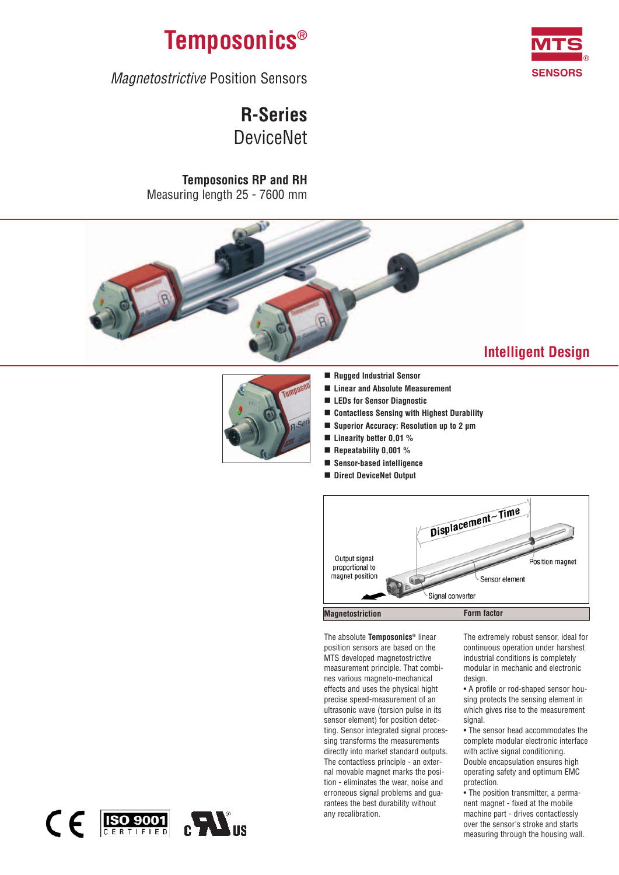

Magnetostrictive Position Sensors

## **R-Series** DeviceNet

### **Temposonics RP and RH** Measuring length 25 - 7600 mm



## **Intelligent Design**



- **Rugged Industrial Sensor**
- **Linear and Absolute Measurement**
- $\blacksquare$  LEDs for Sensor Diagnostic
- **Contactless Sensing with Highest Durability**
- Superior Accuracy: Resolution up to 2 µm
- **E** Linearity better 0,01 %
- **Repeatability 0,001 %**
- Sensor-based intelligence
- Direct DeviceNet Output



The absolute **Temposonics®** linear position sensors are based on the MTS developed magnetostrictive measurement principle. That combines various magneto-mechanical effects and uses the physical hight precise speed-measurement of an ultrasonic wave (torsion pulse in its sensor element) for position detecting. Sensor integrated signal processing transforms the measurements directly into market standard outputs. The contactless principle - an external movable magnet marks the position - eliminates the wear, noise and erroneous signal problems and guarantees the best durability without any recalibration.

The extremely robust sensor, ideal for continuous operation under harshest industrial conditions is completely modular in mechanic and electronic design.

• A profile or rod-shaped sensor housing protects the sensing element in which gives rise to the measurement signal.

• The sensor head accommodates the complete modular electronic interface with active signal conditioning. Double encapsulation ensures high operating safety and optimum EMC protection.

• The position transmitter, a permanent magnet - fixed at the mobile machine part - drives contactlessly over the sensor's stroke and starts measuring through the housing wall.

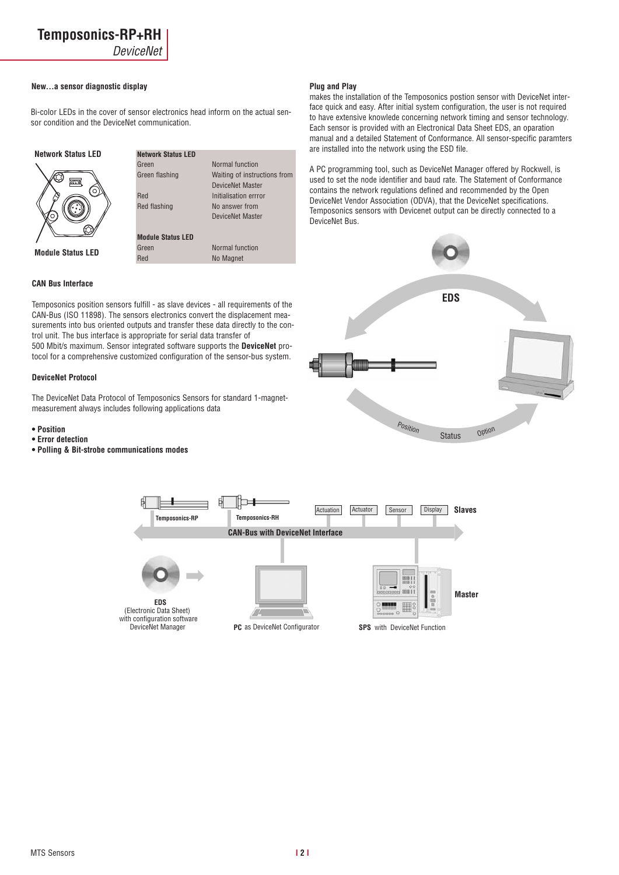#### **New...a sensor diagnostic display**

Bi-color LEDs in the cover of sensor electronics head inform on the actual sensor condition and the DeviceNet communication.

| <b>Network Status LED</b> | <b>Network Status LED</b> |                              |
|---------------------------|---------------------------|------------------------------|
|                           | Green                     | Normal function              |
|                           | Green flashing            | Waiting of instructions from |
|                           |                           | DeviceNet Master             |
|                           | Red                       | Initialisation errror        |
|                           | Red flashing              | No answer from               |
|                           |                           | DeviceNet Master             |
|                           |                           |                              |
|                           | <b>Module Status LED</b>  |                              |
| <b>Module Status LED</b>  | Green                     | Normal function              |
|                           | Red                       | No Magnet                    |

#### **CAN Bus Interface**

Temposonics position sensors fulfill - as slave devices - all requirements of the CAN-Bus (ISO 11898). The sensors electronics convert the displacement measurements into bus oriented outputs and transfer these data directly to the control unit. The bus interface is appropriate for serial data transfer of 500 Mbit/s maximum. Sensor integrated software supports the **DeviceNet** protocol for a comprehensive customized configuration of the sensor-bus system.

#### **DeviceNet Protocol**

The DeviceNet Data Protocol of Temposonics Sensors for standard 1-magnetmeasurement always includes following applications data

- **Position**
- **Error detection**
- **Polling & Bit-strobe communications modes**

#### **Plug and Play**

makes the installation of the Temposonics postion sensor with DeviceNet interface quick and easy. After initial system configuration, the user is not required to have extensive knowlede concerning network timing and sensor technology. Each sensor is provided with an Electronical Data Sheet EDS, an oparation manual and a detailed Statement of Conformance. All sensor-specific paramters are installed into the network using the ESD file.

A PC programming tool, such as DeviceNet Manager offered by Rockwell, is used to set the node identifier and baud rate. The Statement of Conformance contains the network regulations defined and recommended by the Open DeviceNet Vendor Association (ODVA), that the DeviceNet specifications. Temposonics sensors with Devicenet output can be directly connected to a DeviceNet Bus.



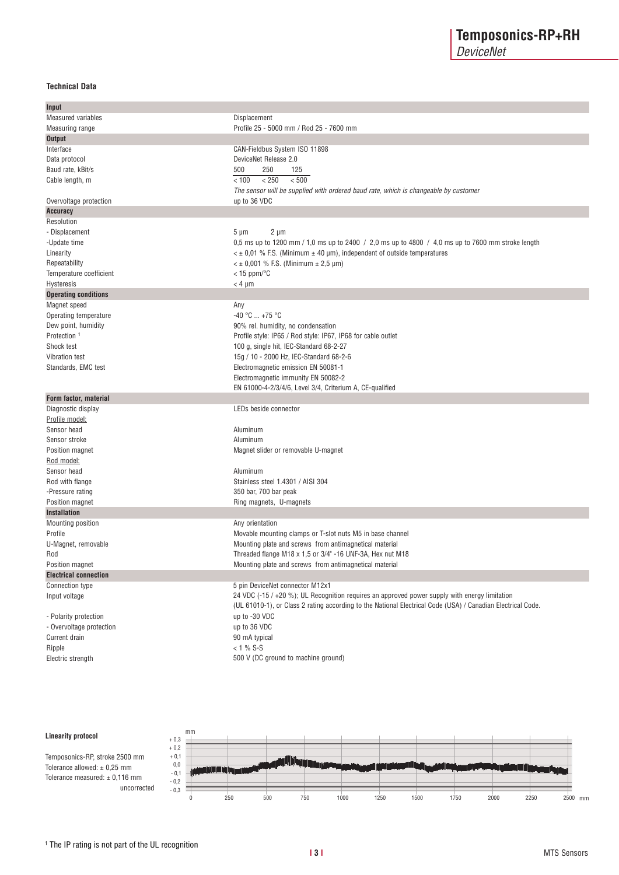#### **Technical Data**

| Input                        |                                                                                                             |
|------------------------------|-------------------------------------------------------------------------------------------------------------|
| Measured variables           | Displacement                                                                                                |
| Measuring range              | Profile 25 - 5000 mm / Rod 25 - 7600 mm                                                                     |
| <b>Output</b>                |                                                                                                             |
| Interface                    | CAN-Fieldbus System ISO 11898                                                                               |
| Data protocol                | DeviceNet Release 2.0                                                                                       |
| Baud rate, kBit/s            | 250<br>500<br>125                                                                                           |
| Cable length, m              | < 250<br>< 500<br>< 100                                                                                     |
|                              | The sensor will be supplied with ordered baud rate, which is changeable by customer                         |
| Overvoltage protection       | up to 36 VDC                                                                                                |
| <b>Accuracy</b>              |                                                                                                             |
| Resolution                   |                                                                                                             |
| - Displacement               | $5 \mu m$<br>$2 \mu m$                                                                                      |
| -Update time                 | 0,5 ms up to 1200 mm / 1,0 ms up to 2400 / 2,0 ms up to 4800 / 4,0 ms up to 7600 mm stroke length           |
| Linearity                    | $\lt$ ± 0,01 % F.S. (Minimum $\pm$ 40 µm), independent of outside temperatures                              |
| Repeatability                | $\leq$ ± 0,001 % F.S. (Minimum ± 2,5 µm)                                                                    |
| Temperature coefficient      | $<$ 15 ppm/ $\degree$ C                                                                                     |
| Hysteresis                   | $< 4 \mu m$                                                                                                 |
| <b>Operating conditions</b>  |                                                                                                             |
| Magnet speed                 | Any                                                                                                         |
| Operating temperature        | $-40 °C  +75 °C$                                                                                            |
| Dew point, humidity          | 90% rel. humidity, no condensation                                                                          |
| Protection <sup>1</sup>      | Profile style: IP65 / Rod style: IP67, IP68 for cable outlet                                                |
| Shock test                   | 100 g, single hit, IEC-Standard 68-2-27                                                                     |
| Vibration test               | 15g / 10 - 2000 Hz, IEC-Standard 68-2-6                                                                     |
| Standards, EMC test          | Electromagnetic emission EN 50081-1                                                                         |
|                              | Electromagnetic immunity EN 50082-2                                                                         |
|                              | EN 61000-4-2/3/4/6, Level 3/4, Criterium A, CE-qualified                                                    |
| Form factor, material        |                                                                                                             |
| Diagnostic display           | LEDs beside connector                                                                                       |
| Profile model:               |                                                                                                             |
| Sensor head                  | Aluminum                                                                                                    |
| Sensor stroke                | Aluminum                                                                                                    |
| Position magnet              | Magnet slider or removable U-magnet                                                                         |
| Rod model:                   |                                                                                                             |
| Sensor head                  | Aluminum                                                                                                    |
| Rod with flange              | Stainless steel 1.4301 / AISI 304                                                                           |
| -Pressure rating             | 350 bar, 700 bar peak                                                                                       |
| Position magnet              | Ring magnets, U-magnets                                                                                     |
| <b>Installation</b>          |                                                                                                             |
| Mounting position            | Any orientation                                                                                             |
| Profile                      | Movable mounting clamps or T-slot nuts M5 in base channel                                                   |
| U-Magnet, removable          | Mounting plate and screws from antimagnetical material                                                      |
| Rod                          | Threaded flange M18 $\times$ 1,5 or 3/4" -16 UNF-3A, Hex nut M18                                            |
| Position magnet              | Mounting plate and screws from antimagnetical material                                                      |
| <b>Electrical connection</b> |                                                                                                             |
| Connection type              | 5 pin DeviceNet connector M12x1                                                                             |
| Input voltage                | 24 VDC (-15 / +20 %); UL Recognition requires an approved power supply with energy limitation               |
|                              | (UL 61010-1), or Class 2 rating according to the National Electrical Code (USA) / Canadian Electrical Code. |
| - Polarity protection        | up to -30 VDC                                                                                               |
| - Overvoltage protection     | up to 36 VDC                                                                                                |
| Current drain                | 90 mA typical                                                                                               |
| Ripple                       | $< 1 \%$ S-S                                                                                                |
| Electric strength            | 500 V (DC ground to machine ground)                                                                         |



Temposonics-RP, stroke 2500 mm Tolerance allowed:  $\pm$  0,25 mm Tolerance measured: ± 0,116 mm uncorrected

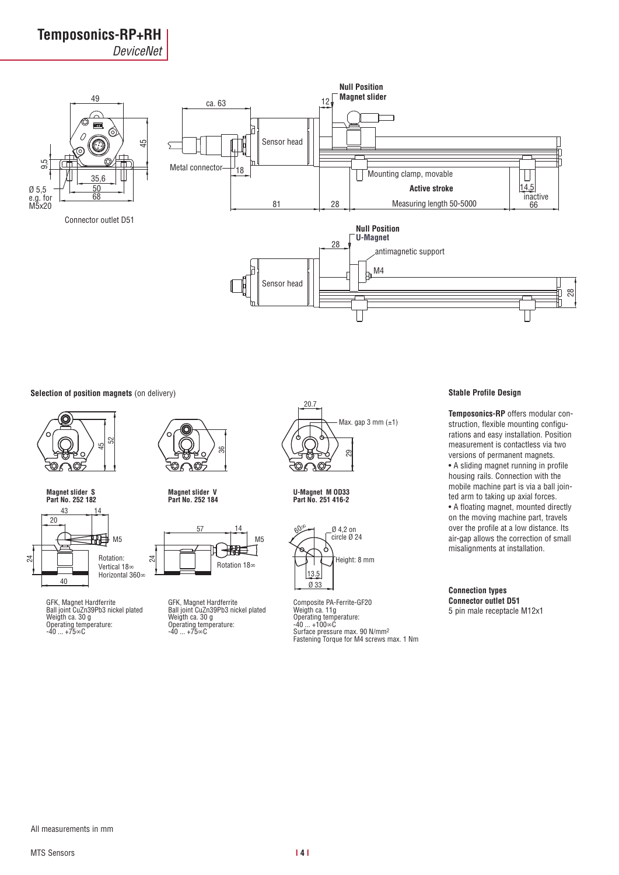## **Temposonics-RP+RH**

DeviceNet





#### **Selection of position magnets** (on delivery)





GFK, Magnet Hardferrite Ball joint CuZn39Pb3 nickel plated Weigth ca. 30 g Operating temperature: -40 ... +75∞C



**Part No. 252 182 Part No. 252 184**



GFK, Magnet Hardferrite Ball joint CuZn39Pb3 nickel plated Weigth ca. 30 g Operating temperature: -40 ... +75∞C



**Magnet slider V U-Magnet M OD33 Part No. 251 416-2**



Composite PA-Ferrite-GF20 Weigth ca. 11g Operating temperature:<br>-40 ... +100∞C<br>Surface pressure max. 90 N/mm<sup>2</sup><br>Fastening Torque for M4 screws max. 1 Nm

#### **Stable Profile Design**

**Temposonics-RP** offers modular construction, flexible mounting configurations and easy installation. Position measurement is contactless via two versions of permanent magnets. • A sliding magnet running in profile housing rails. Connection with the mobile machine part is via a ball jointed arm to taking up axial forces. • A floating magnet, mounted directly on the moving machine part, travels over the profile at a low distance. Its air-gap allows the correction of small misalignments at installation.

28

**Connection types Connector outlet D51** 5 pin male receptacle M12x1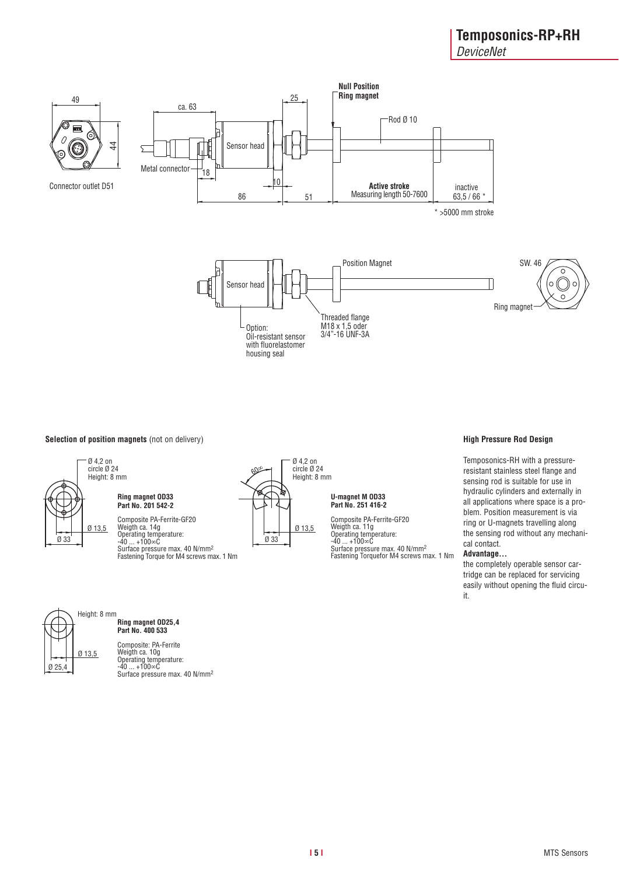

#### **Selection of position magnets** (not on delivery)





Weigth ca. 14g<br>Operating temperature:<br>-40 ... +100∞C<br>Surface pressure max. 40 N/mm<sup>2</sup><br>Fastening Torque for M4 screws max. 1 Nm



**Part No. 251 416-2 U-magnet M OD33**

Composite PA-Ferrite-GF20 Weigth ca. 11g<br>Operating temperature:<br>-40 ... +100∞C<br>Surface pressure max. 40 N/mm<sup>2</sup><br>Fastening Torquefor M4 screws max. 1 Nm

#### **High Pressure Rod Design**

Temposonics-RH with a pressureresistant stainless steel flange and sensing rod is suitable for use in hydraulic cylinders and externally in all applications where space is a problem. Position measurement is via ring or U-magnets travelling along the sensing rod without any mechanical contact.

#### **Advantage...**

the completely operable sensor cartridge can be replaced for servicing easily without opening the fluid circuit.



#### **Ring magnet OD25,4 Part No. 400 533**

Composite: PA-Ferrite Weigth ca. 10g<br>Operating temperature:<br>-40 ... +100∞C<br>Surface pressure max. 40 N/mm<sup>2</sup>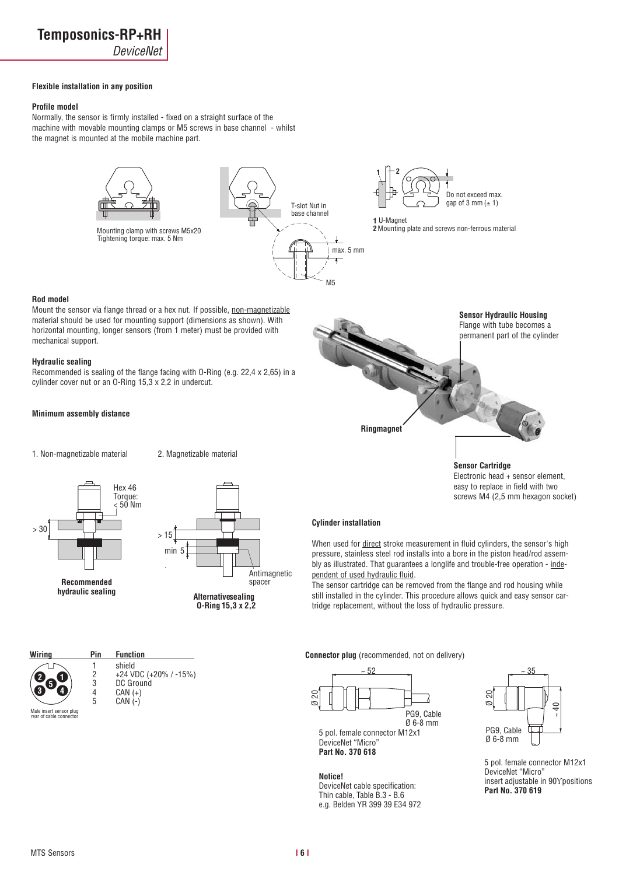#### **Flexible installation in any position**

#### **Profile model**

Normally, the sensor is firmly installed - fixed on a straight surface of the machine with movable mounting clamps or M5 screws in base channel - whilst the magnet is mounted at the mobile machine part.



#### **Rod model**

Mount the sensor via flange thread or a hex nut. If possible, non-magnetizable material should be used for mounting support (dimensions as shown). With horizontal mounting, longer sensors (from 1 meter) must be provided with mechanical support.

#### **Hydraulic sealing**

Recommended is sealing of the flange facing with O-Ring (e.g. 22,4 x 2,65) in a cylinder cover nut or an O-Ring 15,3 x 2,2 in undercut.

#### **Minimum assembly distance**

1. Non-magnetizable material 2. Magnetizable material



**hydraulic sealing**

**Pin** 1  $\overline{2}$  3  $\tilde{4}$ 5



**O-Ring 15,3 x 2,2**



rear of cable co<br>rear of cable co

| shield                |
|-----------------------|
|                       |
| +24 VDC (+20% / -15%) |
| DC Ground             |
| $CAN (+)$             |
| $CAN (-)$             |
|                       |



**Sensor Cartridge** Electronic head + sensor element,

easy to replace in field with two screws M4 (2,5 mm hexagon socket)

#### **Cylinder installation**

When used for direct stroke measurement in fluid cylinders, the sensor's high pressure, stainless steel rod installs into a bore in the piston head/rod assembly as illustrated. That guarantees a longlife and trouble-free operation - independent of used hydraulic fluid.

The sensor cartridge can be removed from the flange and rod housing while still installed in the cylinder. This procedure allows quick and easy sensor cartridge replacement, without the loss of hydraulic pressure.

#### **Connector plug** (recommended, not on delivery)



5 pol. female connector M12x1 DeviceNet "Micro" **Part No. 370 618**

#### **Notice!**

DeviceNet cable specification: Thin cable, Table B.3 - B.6 e.g. Belden YR 399 39 E34 972



5 pol. female connector M12x1 DeviceNet "Micro" insert adjustable in 90ϒ positions **Part No. 370 619**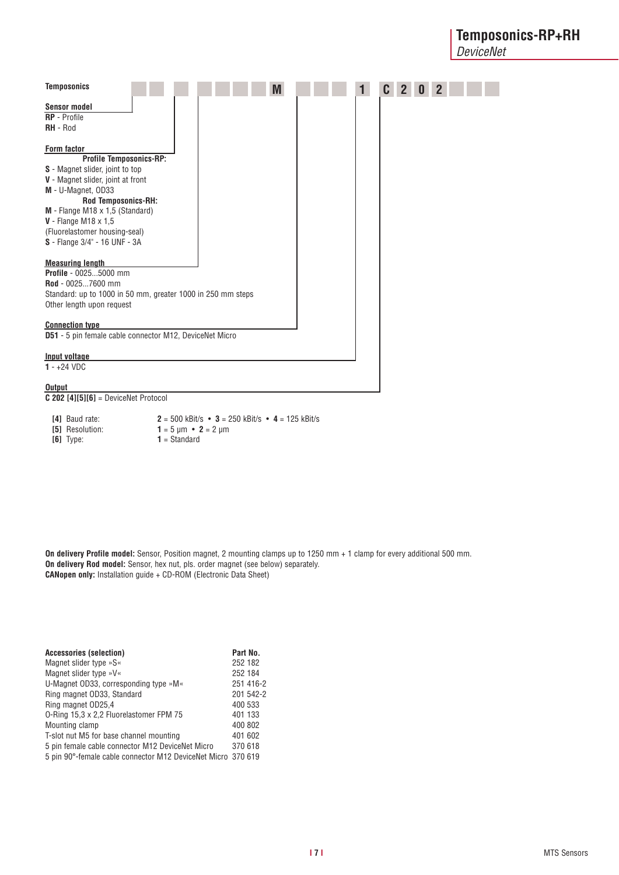| <b>Temposonics</b>                                                                                                                                                                                                                         |                                                   |                                                        | M | $\mathbf{1}$ | C |  |  |
|--------------------------------------------------------------------------------------------------------------------------------------------------------------------------------------------------------------------------------------------|---------------------------------------------------|--------------------------------------------------------|---|--------------|---|--|--|
| <b>Sensor model</b><br><b>RP</b> - Profile<br>RH - Rod                                                                                                                                                                                     |                                                   |                                                        |   |              |   |  |  |
| Form factor<br><b>Profile Temposonics-RP:</b><br>S - Magnet slider, joint to top<br>V - Magnet slider, joint at front<br>M - U-Magnet, OD33<br><b>Rod Temposonics-RH:</b><br>M - Flange M18 x 1,5 (Standard)<br>$V$ - Flange M18 x 1,5     |                                                   |                                                        |   |              |   |  |  |
| (Fluorelastomer housing-seal)<br>S - Flange 3/4" - 16 UNF - 3A<br><b>Measuring length</b><br><b>Profile - 00255000 mm</b><br>Rod - 00257600 mm<br>Standard: up to 1000 in 50 mm, greater 1000 in 250 mm steps<br>Other length upon request |                                                   |                                                        |   |              |   |  |  |
| <b>Connection type</b><br><b>D51</b> - 5 pin female cable connector M12, DeviceNet Micro                                                                                                                                                   |                                                   |                                                        |   |              |   |  |  |
| Input voltage<br>$1 - +24$ VDC                                                                                                                                                                                                             |                                                   |                                                        |   |              |   |  |  |
| <b>Output</b><br>$C$ 202 [4][5][6] = DeviceNet Protocol                                                                                                                                                                                    |                                                   |                                                        |   |              |   |  |  |
| [4] Baud rate:<br>[5] Resolution:<br>$[6]$ Type:                                                                                                                                                                                           | $1 = 5 \mu m \cdot 2 = 2 \mu m$<br>$1 = Standard$ | $2 = 500$ kBit/s • $3 = 250$ kBit/s • $4 = 125$ kBit/s |   |              |   |  |  |

**On delivery Profile model:** Sensor, Position magnet, 2 mounting clamps up to 1250 mm + 1 clamp for every additional 500 mm. **On delivery Rod model:** Sensor, hex nut, pls. order magnet (see below) separately. **CANopen only:** Installation guide + CD-ROM (Electronic Data Sheet)

| <b>Accessories (selection)</b>                               | Part No.  |
|--------------------------------------------------------------|-----------|
| Magnet slider type »S«                                       | 252 182   |
| Magnet slider type »V«                                       | 252 184   |
| U-Magnet OD33, corresponding type »M«                        | 251 416-2 |
| Ring magnet OD33, Standard                                   | 201 542-2 |
| Ring magnet OD25,4                                           | 400 533   |
| 0-Ring 15,3 x 2,2 Fluorelastomer FPM 75                      | 401 133   |
| Mounting clamp                                               | 400 802   |
| T-slot nut M5 for base channel mounting                      | 401 602   |
| 5 pin female cable connector M12 DeviceNet Micro             | 370 618   |
| 5 pin 90°-female cable connector M12 DeviceNet Micro 370 619 |           |
|                                                              |           |